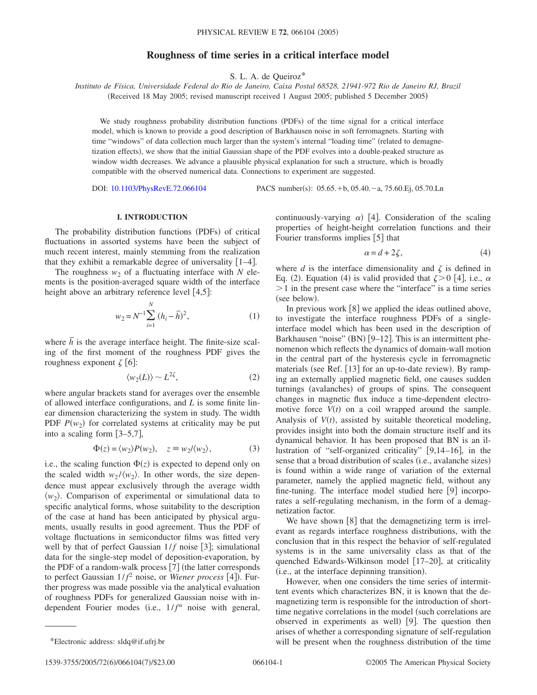# **Roughness of time series in a critical interface model**

S. L. A. de Queiroz\*

*Instituto de Física, Universidade Federal do Rio de Janeiro, Caixa Postal 68528, 21941-972 Rio de Janeiro RJ, Brazil* (Received 18 May 2005; revised manuscript received 1 August 2005; published 5 December 2005)

We study roughness probability distribution functions (PDFs) of the time signal for a critical interface model, which is known to provide a good description of Barkhausen noise in soft ferromagnets. Starting with time "windows" of data collection much larger than the system's internal "loading time" (related to demagnetization effects), we show that the initial Gaussian shape of the PDF evolves into a double-peaked structure as window width decreases. We advance a plausible physical explanation for such a structure, which is broadly compatible with the observed numerical data. Connections to experiment are suggested.

DOI: [10.1103/PhysRevE.72.066104](http://dx.doi.org/10.1103/PhysRevE.72.066104)

:  $05.65.+b$ ,  $05.40.-a$ ,  $75.60.Ej$ ,  $05.70.Ln$ 

### **I. INTRODUCTION**

The probability distribution functions (PDFs) of critical fluctuations in assorted systems have been the subject of much recent interest, mainly stemming from the realization that they exhibit a remarkable degree of universality  $[1-4]$ .

The roughness  $w_2$  of a fluctuating interface with N elements is the position-averaged square width of the interface height above an arbitrary reference level  $[4,5]$ :

$$
w_2 = N^{-1} \sum_{i=1}^{N} (h_i - \overline{h})^2,
$$
 (1)

where  $\overline{h}$  is the average interface height. The finite-size scaling of the first moment of the roughness PDF gives the roughness exponent  $\zeta$  [6]:

$$
\langle w_2(L) \rangle \sim L^{2\zeta},\tag{2}
$$

where angular brackets stand for averages over the ensemble of allowed interface configurations, and *L* is some finite linear dimension characterizing the system in study. The width PDF  $P(w_2)$  for correlated systems at criticality may be put into a scaling form  $[3-5,7]$ ,

$$
\Phi(z) = \langle w_2 \rangle P(w_2), \quad z \equiv w_2 / \langle w_2 \rangle,\tag{3}
$$

i.e., the scaling function  $\Phi(z)$  is expected to depend only on the scaled width  $w_2 / \langle w_2 \rangle$ . In other words, the size dependence must appear exclusively through the average width  $\langle w_2 \rangle$ . Comparison of experimental or simulational data to specific analytical forms, whose suitability to the description of the case at hand has been anticipated by physical arguments, usually results in good agreement. Thus the PDF of voltage fluctuations in semiconductor films was fitted very well by that of perfect Gaussian  $1/f$  noise [3]; simulational data for the single-step model of deposition-evaporation, by the PDF of a random-walk process  $[7]$  (the latter corresponds to perfect Gaussian  $1/f^2$  noise, or *Wiener process* [4]). Further progress was made possible via the analytical evaluation of roughness PDFs for generalized Gaussian noise with independent Fourier modes (i.e.,  $1/f^{\alpha}$  noise with general,

continuously-varying  $\alpha$ ) [4]. Consideration of the scaling properties of height-height correlation functions and their Fourier transforms implies [5] that

$$
\alpha = d + 2\zeta,\tag{4}
$$

where  $d$  is the interface dimensionality and  $\zeta$  is defined in Eq. (2). Equation (4) is valid provided that  $\zeta > 0$  [4], i.e.,  $\alpha$  $> 1$  in the present case where the "interface" is a time series (see below).

In previous work  $\lceil 8 \rceil$  we applied the ideas outlined above, to investigate the interface roughness PDFs of a singleinterface model which has been used in the description of Barkhausen "noise" (BN) [9-12]. This is an intermittent phenomenon which reflects the dynamics of domain-wall motion in the central part of the hysteresis cycle in ferromagnetic materials (see Ref. [13] for an up-to-date review). By ramping an externally applied magnetic field, one causes sudden turnings (avalanches) of groups of spins. The consequent changes in magnetic flux induce a time-dependent electromotive force  $V(t)$  on a coil wrapped around the sample. Analysis of  $V(t)$ , assisted by suitable theoretical modeling, provides insight into both the domain structure itself and its dynamical behavior. It has been proposed that BN is an illustration of "self-organized criticality" [9,14–16], in the sense that a broad distribution of scales (i.e., avalanche sizes) is found within a wide range of variation of the external parameter, namely the applied magnetic field, without any fine-tuning. The interface model studied here  $[9]$  incorporates a self-regulating mechanism, in the form of a demagnetization factor.

We have shown  $\lceil 8 \rceil$  that the demagnetizing term is irrelevant as regards interface roughness distributions, with the conclusion that in this respect the behavior of self-regulated systems is in the same universality class as that of the quenched Edwards-Wilkinson model [17–20], at criticality (i.e., at the interface depinning transition).

However, when one considers the time series of intermittent events which characterizes BN, it is known that the demagnetizing term is responsible for the introduction of shorttime negative correlations in the model (such correlations are observed in experiments as well) [9]. The question then arises of whether a corresponding signature of self-regulation \*Electronic address: sldq@if.ufrj.br will be present when the roughness distribution of the time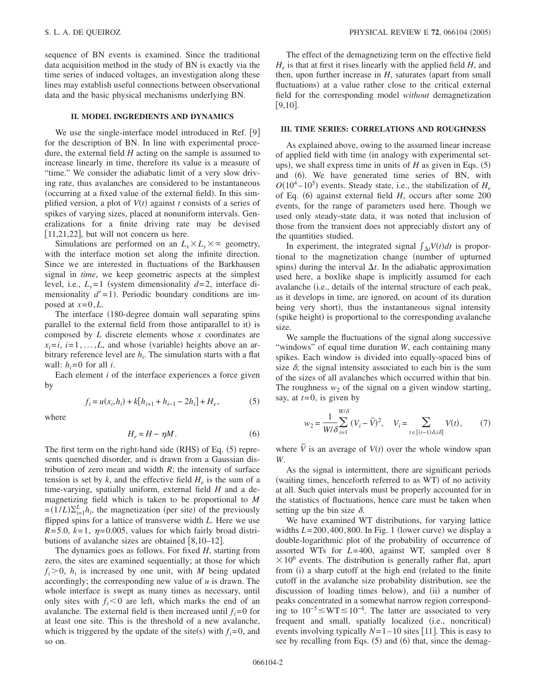sequence of BN events is examined. Since the traditional data acquisition method in the study of BN is exactly via the time series of induced voltages, an investigation along these lines may establish useful connections between observational data and the basic physical mechanisms underlying BN.

## **II. MODEL INGREDIENTS AND DYNAMICS**

We use the single-interface model introduced in Ref. [9] for the description of BN. In line with experimental procedure, the external field *H* acting on the sample is assumed to increase linearly in time, therefore its value is a measure of "time." We consider the adiabatic limit of a very slow driving rate, thus avalanches are considered to be instantaneous (occurring at a fixed value of the external field). In this simplified version, a plot of  $V(t)$  against  $t$  consists of a series of spikes of varying sizes, placed at nonuniform intervals. Generalizations for a finite driving rate may be devised  $[11,21,22]$ , but will not concern us here.

Simulations are performed on an  $L_x \times L_y \times \infty$  geometry, with the interface motion set along the infinite direction. Since we are interested in fluctuations of the Barkhausen signal in *time*, we keep geometric aspects at the simplest level, i.e.,  $L_v = 1$  (system dimensionality  $d=2$ , interface dimensionality  $d'=1$ ). Periodic boundary conditions are imposed at  $x=0,L$ .

The interface (180-degree domain wall separating spins parallel to the external field from those antiparallel to it) is composed by *L* discrete elements whose *x* coordinates are  $x_i = i$ ,  $i = 1, \ldots, L$ , and whose (variable) heights above an arbitrary reference level are  $h_i$ . The simulation starts with a flat wall:  $h_i = 0$  for all *i*.

Each element *i* of the interface experiences a force given by

$$
f_i = u(x_i, h_i) + k[h_{i+1} + h_{i-1} - 2h_i] + H_e,
$$
 (5)

where

$$
H_e = H - \eta M. \tag{6}
$$

The first term on the right-hand side  $(RHS)$  of Eq.  $(5)$  represents quenched disorder, and is drawn from a Gaussian distribution of zero mean and width *R*; the intensity of surface tension is set by  $k$ , and the effective field  $H_e$  is the sum of a time-varying, spatially uniform, external field *H* and a demagnetizing field which is taken to be proportional to *M*  $=(1/L)\sum_{i=1}^{L} h_i$ , the magnetization (per site) of the previously flipped spins for a lattice of transverse width *L*. Here we use  $R=5.0$ ,  $k=1$ ,  $\eta=0.005$ , values for which fairly broad distributions of avalanche sizes are obtained  $[8,10-12]$ .

The dynamics goes as follows. For fixed *H*, starting from zero, the sites are examined sequentially; at those for which  $f_i > 0$ ,  $h_i$  is increased by one unit, with *M* being updated accordingly; the corresponding new value of *u* is drawn. The whole interface is swept as many times as necessary, until only sites with  $f_i < 0$  are left, which marks the end of an avalanche. The external field is then increased until  $f_i = 0$  for at least one site. This is the threshold of a new avalanche, which is triggered by the update of the site(s) with  $f_i = 0$ , and so on.

The effect of the demagnetizing term on the effective field  $H_e$  is that at first it rises linearly with the applied field  $H$ , and then, upon further increase in  $H$ , saturates (apart from small fluctuations) at a value rather close to the critical external field for the corresponding model *without* demagnetization  $[9,10]$ .

## **III. TIME SERIES: CORRELATIONS AND ROUGHNESS**

As explained above, owing to the assumed linear increase of applied field with time (in analogy with experimental setups), we shall express time in units of  $H$  as given in Eqs.  $(5)$ and (6). We have generated time series of BN, with  $O(10^4 - 10^5)$  events. Steady state, i.e., the stabilization of  $H_e$ of Eq. (6) against external field *H*, occurs after some 200 events, for the range of parameters used here. Though we used only steady-state data, it was noted that inclusion of those from the transient does not appreciably distort any of the quantities studied.

In experiment, the integrated signal  $\int_{\Delta t} V(t) dt$  is proportional to the magnetization change (number of upturned spins) during the interval  $\Delta t$ . In the adiabatic approximation used here, a boxlike shape is implicitly assumed for each avalanche (*i.e.*, details of the internal structure of each peak, as it develops in time, are ignored, on acount of its duration being very short), thus the instantaneous signal intensity (spike height) is proportional to the corresponding avalanche size.

We sample the fluctuations of the signal along successive "windows" of equal time duration *W*, each containing many spikes. Each window is divided into equally-spaced bins of size  $\delta$ ; the signal intensity associated to each bin is the sum of the sizes of all avalanches which occurred within that bin. The roughness  $w_2$  of the signal on a given window starting, say, at *t*=0, is given by

$$
w_2 = \frac{1}{W/\delta} \sum_{i=1}^{W/\delta} (V_i - \overline{V})^2, \quad V_i = \sum_{t \in [(i-1)\delta, i\delta]} V(t), \tag{7}
$$

where  $\overline{V}$  is an average of  $V(t)$  over the whole window span *W*.

As the signal is intermittent, there are significant periods (waiting times, henceforth referred to as WT) of no activity at all. Such quiet intervals must be properly accounted for in the statistics of fluctuations, hence care must be taken when setting up the bin size  $\delta$ .

We have examined WT distributions, for varying lattice widths  $L = 200, 400, 800$ . In Fig. 1 (lower curve) we display a double-logarithmic plot of the probability of occurrence of assorted WTs for *L*=400, against WT, sampled over 8  $\times 10^6$  events. The distribution is generally rather flat, apart from (i) a sharp cutoff at the high end (related to the finite cutoff in the avalanche size probability distribution, see the discussion of loading times below), and (ii) a number of peaks concentrated in a somewhat narrow region corresponding to  $10^{-5}$   $\leq$  WT  $\leq$  10<sup>-4</sup>. The latter are associated to very frequent and small, spatially localized (i.e., noncritical) events involving typically  $N=1-10$  sites [11]. This is easy to see by recalling from Eqs. (5) and (6) that, since the demag-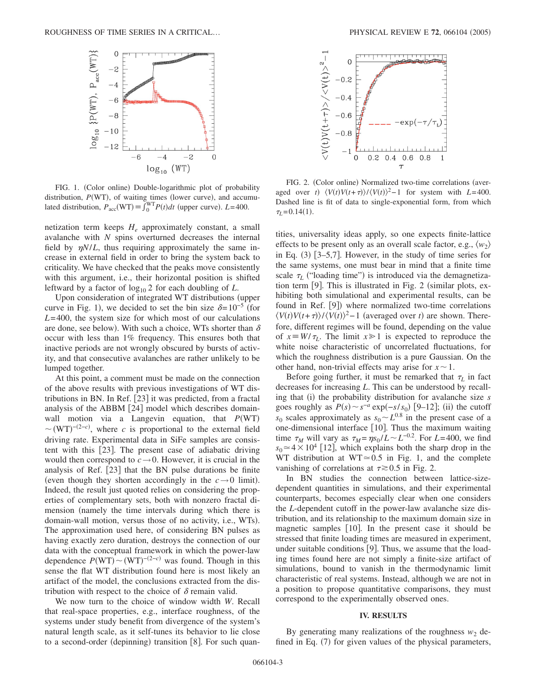

FIG. 1. (Color online) Double-logarithmic plot of probability distribution,  $P(WT)$ , of waiting times (lower curve), and accumulated distribution,  $P_{\text{acc}}(\text{WT}) = \int_{0}^{\text{WT}} P(t) dt$  (upper curve).  $L = 400$ .

netization term keeps  $H_e$  approximately constant, a small avalanche with *N* spins overturned decreases the internal field by  $\eta N/L$ , thus requiring approximately the same increase in external field in order to bring the system back to criticality. We have checked that the peaks move consistently with this argument, i.e., their horizontal position is shifted leftward by a factor of  $log_{10} 2$  for each doubling of *L*.

Upon consideration of integrated WT distributions (upper curve in Fig. 1), we decided to set the bin size  $\delta = 10^{-5}$  (for *L*=400, the system size for which most of our calculations are done, see below). With such a choice, WTs shorter than  $\delta$ occur with less than 1% frequency. This ensures both that inactive periods are not wrongly obscured by bursts of activity, and that consecutive avalanches are rather unlikely to be lumped together.

At this point, a comment must be made on the connection of the above results with previous investigations of WT distributions in BN. In Ref.  $[23]$  it was predicted, from a fractal analysis of the ABBM [24] model which describes domainwall motion via a Langevin equation, that  $P(WT)$  $\sim$ (WT)<sup>-(2-*c*)</sup>, where *c* is proportional to the external field driving rate. Experimental data in SiFe samples are consistent with this  $[23]$ . The present case of adiabatic driving would then correspond to  $c \rightarrow 0$ . However, it is crucial in the analysis of Ref. [23] that the BN pulse durations be finite (even though they shorten accordingly in the  $c \rightarrow 0$  limit). Indeed, the result just quoted relies on considering the properties of complementary sets, both with nonzero fractal dimension (namely the time intervals during which there is domain-wall motion, versus those of no activity, i.e., WTs). The approximation used here, of considering BN pulses as having exactly zero duration, destroys the connection of our data with the conceptual framework in which the power-law dependence  $P(WT) \sim (WT)^{-(2-c)}$  was found. Though in this sense the flat WT distribution found here is most likely an artifact of the model, the conclusions extracted from the distribution with respect to the choice of  $\delta$  remain valid.

We now turn to the choice of window width *W*. Recall that real-space properties, e.g., interface roughness, of the systems under study benefit from divergence of the system's natural length scale, as it self-tunes its behavior to lie close to a second-order (depinning) transition [8]. For such quan-



FIG. 2. (Color online) Normalized two-time correlations (averaged over *t*)  $\langle V(t)V(t+\tau)\rangle / \langle V(t)\rangle^2 - 1$  for system with *L*=400. Dashed line is fit of data to single-exponential form, from which  $\tau_L = 0.14(1)$ .

tities, universality ideas apply, so one expects finite-lattice effects to be present only as an overall scale factor, e.g.,  $\langle w_2 \rangle$ in Eq. (3) [3–5,7]. However, in the study of time series for the same systems, one must bear in mind that a finite time scale  $\tau_L$  ("loading time") is introduced via the demagnetization term  $[9]$ . This is illustrated in Fig. 2 (similar plots, exhibiting both simulational and experimental results, can be found in Ref. [9]) where normalized two-time correlations  $\langle V(t)V(t+\tau)\rangle$ / $\langle V(t)\rangle^2$  – 1 (averaged over *t*) are shown. Therefore, different regimes will be found, depending on the value of  $x \equiv W/\tau_L$ . The limit  $x \ge 1$  is expected to reproduce the white noise characteristic of uncorrelated fluctuations, for which the roughness distribution is a pure Gaussian. On the other hand, non-trivial effects may arise for  $x \sim 1$ .

Before going further, it must be remarked that  $\tau_L$  in fact decreases for increasing *L*. This can be understood by recalling that (i) the probability distribution for avalanche size *s* goes roughly as  $P(s) \sim s^{-a} \exp(-s/s_0)$  [9–12]; (ii) the cutoff  $s_0$  scales approximately as  $s_0 \sim L^{0.8}$  in the present case of a one-dimensional interface  $\lceil 10 \rceil$ . Thus the maximum waiting time  $\tau_M$  will vary as  $\tau_M = \eta s_0 / L \sim L^{-0.2}$ . For  $L = 400$ , we find  $s_0 \approx 4 \times 10^4$  [12], which explains both the sharp drop in the WT distribution at  $WT \approx 0.5$  in Fig. 1, and the complete vanishing of correlations at  $\tau \gtrsim 0.5$  in Fig. 2.

In BN studies the connection between lattice-sizedependent quantities in simulations, and their experimental counterparts, becomes especially clear when one considers the *L*-dependent cutoff in the power-law avalanche size distribution, and its relationship to the maximum domain size in magnetic samples  $[10]$ . In the present case it should be stressed that finite loading times are measured in experiment, under suitable conditions  $[9]$ . Thus, we assume that the loading times found here are not simply a finite-size artifact of simulations, bound to vanish in the thermodynamic limit characteristic of real systems. Instead, although we are not in a position to propose quantitative comparisons, they must correspond to the experimentally observed ones.

#### **IV. RESULTS**

By generating many realizations of the roughness  $w_2$  defined in Eq. (7) for given values of the physical parameters,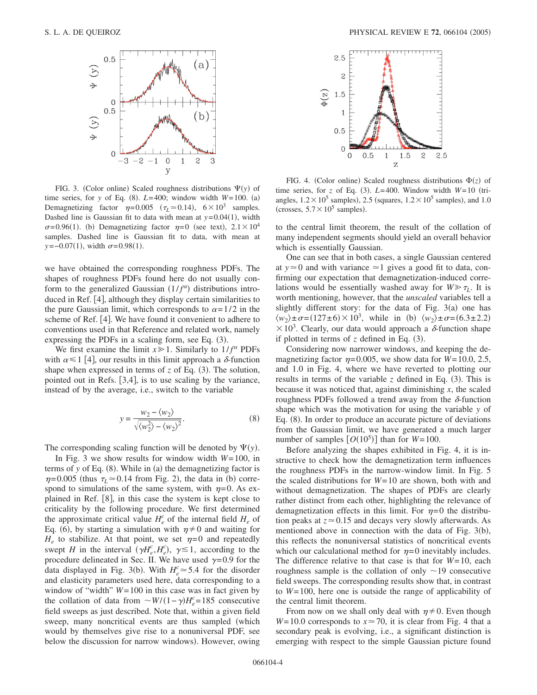

FIG. 3. (Color online) Scaled roughness distributions  $\Psi(y)$  of time series, for *y* of Eq. (8).  $L=400$ ; window width  $W=100$ . (a) Demagnetizing factor  $\eta = 0.005$  ( $\tau_L \approx 0.14$ ),  $6 \times 10^3$  samples. Dashed line is Gaussian fit to data with mean at  $y=0.04(1)$ , width  $\sigma$ =0.96(1). (b) Demagnetizing factor  $\eta$ =0 (see text), 2.1 × 10<sup>4</sup> samples. Dashed line is Gaussian fit to data, with mean at  $y=-0.07(1)$ , width  $\sigma=0.98(1)$ .

we have obtained the corresponding roughness PDFs. The shapes of roughness PDFs found here do not usually conform to the generalized Gaussian  $(1/f^{\alpha})$  distributions introduced in Ref.  $[4]$ , although they display certain similarities to the pure Gaussian limit, which corresponds to  $\alpha = 1/2$  in the scheme of Ref. [4]. We have found it convenient to adhere to conventions used in that Reference and related work, namely expressing the PDFs in a scaling form, see Eq.  $(3)$ .

We first examine the limit  $x \ge 1$ . Similarly to  $1/f^{\alpha}$  PDFs with  $\alpha \leq 1$  [4], our results in this limit approach a  $\delta$ -function shape when expressed in terms of  $z$  of Eq.  $(3)$ . The solution, pointed out in Refs.  $[3,4]$ , is to use scaling by the variance, instead of by the average, i.e., switch to the variable

$$
y = \frac{w_2 - \langle w_2 \rangle}{\sqrt{\langle w_2^2 \rangle - \langle w_2 \rangle^2}}.
$$
 (8)

The corresponding scaling function will be denoted by  $\Psi(y)$ .

In Fig. 3 we show results for window width *W*=100, in terms of  $y$  of Eq.  $(8)$ . While in  $(a)$  the demagnetizing factor is  $\eta$ =0.005 (thus  $\tau_L$   $\approx$  0.14 from Fig. 2), the data in (b) correspond to simulations of the same system, with  $\eta=0$ . As explained in Ref.  $[8]$ , in this case the system is kept close to criticality by the following procedure. We first determined the approximate critical value  $H_e^c$  of the internal field  $H_e$  of Eq. (6), by starting a simulation with  $\eta \neq 0$  and waiting for  $H_e$  to stabilize. At that point, we set  $\eta = 0$  and repeatedly swept *H* in the interval  $(\gamma H_e^c, H_e^c)$ ,  $\gamma \le 1$ , according to the procedure delineated in Sec. II. We have used  $\gamma = 0.9$  for the data displayed in Fig. 3(b). With  $H_e^c \approx 5.4$  for the disorder and elasticity parameters used here, data corresponding to a window of "width" *W*=100 in this case was in fact given by the collation of data from  $\sim W/(1-\gamma)H_e^c = 185$  consecutive field sweeps as just described. Note that, within a given field sweep, many noncritical events are thus sampled (which would by themselves give rise to a nonuniversal PDF, see below the discussion for narrow windows). However, owing



FIG. 4. (Color online) Scaled roughness distributions  $\Phi(z)$  of time series, for *z* of Eq. (3).  $L=400$ . Window width  $W=10$  (triangles,  $1.2 \times 10^5$  samples), 2.5 (squares,  $1.2 \times 10^5$  samples), and 1.0 (crosses,  $5.7 \times 10^5$  samples).

to the central limit theorem, the result of the collation of many independent segments should yield an overall behavior which is essentially Gaussian.

One can see that in both cases, a single Gaussian centered at  $y \approx 0$  and with variance  $\approx 1$  gives a good fit to data, confirming our expectation that demagnetization-induced correlations would be essentially washed away for  $W \gg \tau_L$ . It is worth mentioning, however, that the *unscaled* variables tell a slightly different story: for the data of Fig. 3(a) one has  $\langle w_2 \rangle \pm \sigma = (127 \pm 6) \times 10^3$ , while in (b)  $\langle w_2 \rangle \pm \sigma = (6.3 \pm 2.2)$  $\times$  10<sup>3</sup>. Clearly, our data would approach a  $\delta$ -function shape if plotted in terms of  $z$  defined in Eq.  $(3)$ .

Considering now narrower windows, and keeping the demagnetizing factor  $\eta$ =0.005, we show data for *W*=10.0, 2.5, and 1.0 in Fig. 4, where we have reverted to plotting our results in terms of the variable  $z$  defined in Eq.  $(3)$ . This is because it was noticed that, against diminishing *x*, the scaled roughness PDFs followed a trend away from the  $\delta$ -function shape which was the motivation for using the variable *y* of Eq. (8). In order to produce an accurate picture of deviations from the Gaussian limit, we have generated a much larger number of samples  $[O(10^5)]$  than for  $W=100$ .

Before analyzing the shapes exhibited in Fig. 4, it is instructive to check how the demagnetization term influences the roughness PDFs in the narrow-window limit. In Fig. 5 the scaled distributions for *W*=10 are shown, both with and without demagnetization. The shapes of PDFs are clearly rather distinct from each other, highlighting the relevance of demagnetization effects in this limit. For  $\eta=0$  the distribution peaks at  $z \approx 0.15$  and decays very slowly afterwards. As mentioned above in connection with the data of Fig. 3(b), this reflects the nonuniversal statistics of noncritical events which our calculational method for  $\eta = 0$  inevitably includes. The difference relative to that case is that for *W*=10, each roughness sample is the collation of only  $\sim$ 19 consecutive field sweeps. The corresponding results show that, in contrast to *W*=100, here one is outside the range of applicability of the central limit theorem.

From now on we shall only deal with  $\eta \neq 0$ . Even though  $W=10.0$  corresponds to  $x \approx 70$ , it is clear from Fig. 4 that a secondary peak is evolving, i.e., a significant distinction is emerging with respect to the simple Gaussian picture found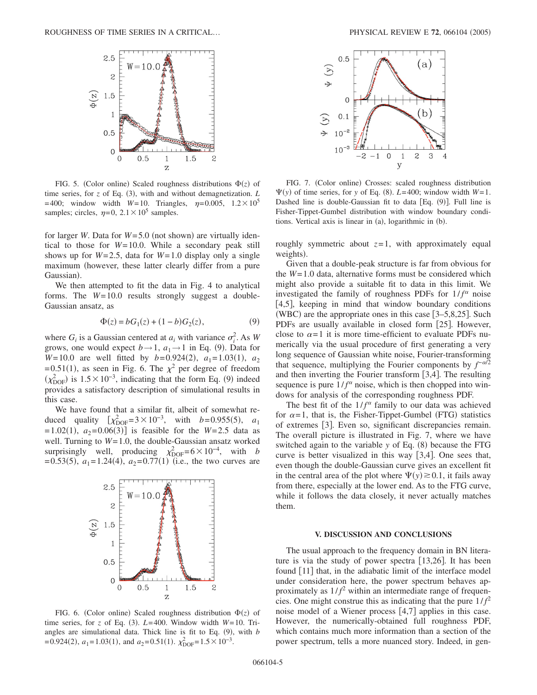

FIG. 5. (Color online) Scaled roughness distributions  $\Phi(z)$  of time series, for  $z$  of Eq. (3), with and without demagnetization.  $L$  $=400$ ; window width  $W=10$ . Triangles,  $\eta = 0.005$ ,  $1.2 \times 10^5$ samples; circles,  $\eta = 0$ ,  $2.1 \times 10^5$  samples.

for larger *W*. Data for  $W = 5.0$  (not shown) are virtually identical to those for *W*=10.0. While a secondary peak still shows up for  $W=2.5$ , data for  $W=1.0$  display only a single maximum (however, these latter clearly differ from a pure Gaussian).

We then attempted to fit the data in Fig. 4 to analytical forms. The *W*=10.0 results strongly suggest a double-Gaussian ansatz, as

$$
\Phi(z) = bG_1(z) + (1 - b)G_2(z),\tag{9}
$$

where  $G_i$  is a Gaussian centered at  $a_i$  with variance  $\sigma_i^2$ . As *W* grows, one would expect  $b \rightarrow 1$ ,  $a_1 \rightarrow 1$  in Eq. (9). Data for *W*=10.0 are well fitted by *b*=0.924(2),  $a_1$ =1.03(1),  $a_2$ =0.51(1), as seen in Fig. 6. The  $\chi^2$  per degree of freedom  $(\chi_{\text{DOF}}^2)$  is 1.5 × 10<sup>-3</sup>, indicating that the form Eq. (9) indeed provides a satisfactory description of simulational results in this case.

We have found that a similar fit, albeit of somewhat reduced quality  $[\chi^2_{\text{DOF}} = 3 \times 10^{-3}, \text{ with } b = 0.955(5), a_1$  $=1.02(1)$ ,  $a_2=0.06(3)$  is feasible for the *W*=2.5 data as well. Turning to *W*=1.0, the double-Gaussian ansatz worked surprisingly well, producing  $\chi_{\text{DOF}}^2 = 6 \times 10^{-4}$ , with *b*  $= 0.53(5)$ ,  $a_1 = 1.24(4)$ ,  $a_2 = 0.77(1)$  (i.e., the two curves are



FIG. 6. (Color online) Scaled roughness distribution  $\Phi(z)$  of time series, for *z* of Eq. (3).  $L=400$ . Window width  $W=10$ . Triangles are simulational data. Thick line is fit to Eq.  $(9)$ , with *b*  $= 0.924(2), a_1 = 1.03(1), \text{ and } a_2 = 0.51(1). \chi_{\text{DOF}}^2 = 1.5 \times 10^{-3}.$ 



FIG. 7. (Color online) Crosses: scaled roughness distribution  $\Psi(y)$  of time series, for *y* of Eq. (8).  $L=400$ ; window width  $W=1$ . Dashed line is double-Gaussian fit to data [Eq. (9)]. Full line is Fisher-Tippet-Gumbel distribution with window boundary conditions. Vertical axis is linear in (a), logarithmic in (b).

roughly symmetric about  $z=1$ , with approximately equal weights).

Given that a double-peak structure is far from obvious for the *W*=1.0 data, alternative forms must be considered which might also provide a suitable fit to data in this limit. We investigated the family of roughness PDFs for  $1/f^{\alpha}$  noise [4,5], keeping in mind that window boundary conditions (WBC) are the appropriate ones in this case  $[3-5,8,25]$ . Such PDFs are usually available in closed form  $[25]$ . However, close to  $\alpha = 1$  it is more time-efficient to evaluate PDFs numerically via the usual procedure of first generating a very long sequence of Gaussian white noise, Fourier-transforming that sequence, multiplying the Fourier components by  $f^{-\alpha/2}$ and then inverting the Fourier transform  $[3,4]$ . The resulting sequence is pure  $1/f^{\alpha}$  noise, which is then chopped into windows for analysis of the corresponding roughness PDF.

The best fit of the  $1/f^{\alpha}$  family to our data was achieved for  $\alpha = 1$ , that is, the Fisher-Tippet-Gumbel (FTG) statistics of extremes [3]. Even so, significant discrepancies remain. The overall picture is illustrated in Fig. 7, where we have switched again to the variable *y* of Eq. (8) because the FTG curve is better visualized in this way  $[3,4]$ . One sees that, even though the double-Gaussian curve gives an excellent fit in the central area of the plot where  $\Psi(y) \ge 0.1$ , it fails away from there, especially at the lower end. As to the FTG curve, while it follows the data closely, it never actually matches them.

## **V. DISCUSSION AND CONCLUSIONS**

The usual approach to the frequency domain in BN literature is via the study of power spectra  $[13,26]$ . It has been found  $[11]$  that, in the adiabatic limit of the interface model under consideration here, the power spectrum behaves approximately as  $1/f^2$  within an intermediate range of frequencies. One might construe this as indicating that the pure  $1/f<sup>2</sup>$ noise model of a Wiener process [4,7] applies in this case. However, the numerically-obtained full roughness PDF, which contains much more information than a section of the power spectrum, tells a more nuanced story. Indeed, in gen-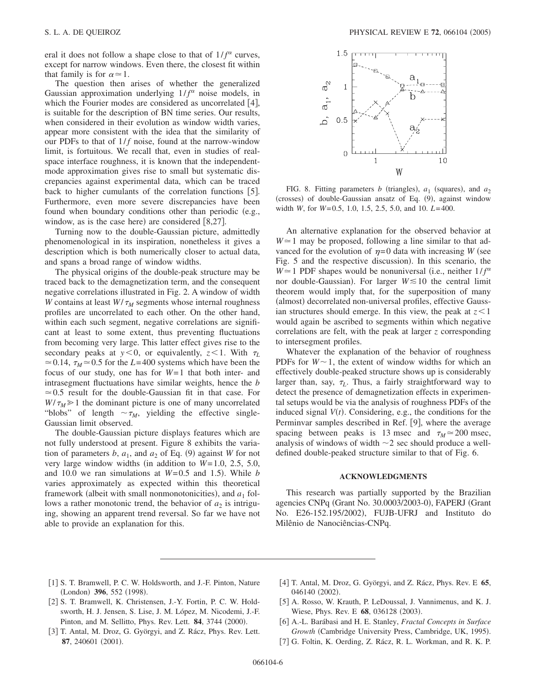eral it does not follow a shape close to that of  $1/f^{\alpha}$  curves, except for narrow windows. Even there, the closest fit within that family is for  $\alpha \approx 1$ .

The question then arises of whether the generalized Gaussian approximation underlying  $1/f^{\alpha}$  noise models, in which the Fourier modes are considered as uncorrelated  $[4]$ , is suitable for the description of BN time series. Our results, when considered in their evolution as window width varies, appear more consistent with the idea that the similarity of our PDFs to that of  $1/f$  noise, found at the narrow-window limit, is fortuitous. We recall that, even in studies of realspace interface roughness, it is known that the independentmode approximation gives rise to small but systematic discrepancies against experimental data, which can be traced back to higher cumulants of the correlation functions  $[5]$ . Furthermore, even more severe discrepancies have been found when boundary conditions other than periodic (e.g., window, as is the case here) are considered  $[8,27]$ .

Turning now to the double-Gaussian picture, admittedly phenomenological in its inspiration, nonetheless it gives a description which is both numerically closer to actual data, and spans a broad range of window widths.

The physical origins of the double-peak structure may be traced back to the demagnetization term, and the consequent negative correlations illustrated in Fig. 2. A window of width *W* contains at least  $W/\tau_M$  segments whose internal roughness profiles are uncorrelated to each other. On the other hand, within each such segment, negative correlations are significant at least to some extent, thus preventing fluctuations from becoming very large. This latter effect gives rise to the secondary peaks at  $y < 0$ , or equivalently,  $z < 1$ . With  $\tau_L$  $\approx$  0.14,  $\tau_M \approx$  0.5 for the *L*=400 systems which have been the focus of our study, one has for *W*=1 that both inter- and intrasegment fluctuations have similar weights, hence the *b*  $\approx 0.5$  result for the double-Gaussian fit in that case. For  $W/\tau_M \geq 1$  the dominant picture is one of many uncorrelated "blobs" of length  $\sim \tau_M$ , yielding the effective single-Gaussian limit observed.

The double-Gaussian picture displays features which are not fully understood at present. Figure 8 exhibits the variation of parameters  $b$ ,  $a_1$ , and  $a_2$  of Eq. (9) against *W* for not very large window widths (in addition to  $W=1.0$ , 2.5, 5.0, and 10.0 we ran simulations at  $W=0.5$  and 1.5). While *b* varies approximately as expected within this theoretical framework (albeit with small nonmonotonicities), and  $a_1$  follows a rather monotonic trend, the behavior of  $a_2$  is intriguing, showing an apparent trend reversal. So far we have not able to provide an explanation for this.



FIG. 8. Fitting parameters *b* (triangles),  $a_1$  (squares), and  $a_2$ (crosses) of double-Gaussian ansatz of Eq. (9), against window width *W*, for *W*=0.5, 1.0, 1.5, 2.5, 5.0, and 10. *L*=400.

An alternative explanation for the observed behavior at  $W \approx 1$  may be proposed, following a line similar to that advanced for the evolution of  $\eta = 0$  data with increasing *W* (see Fig. 5 and the respective discussion). In this scenario, the  $W \approx 1$  PDF shapes would be nonuniversal (i.e., neither  $1/f^{\alpha}$ nor double-Gaussian). For larger  $W \le 10$  the central limit theorem would imply that, for the superposition of many (almost) decorrelated non-universal profiles, effective Gaussian structures should emerge. In this view, the peak at *z* 1 would again be ascribed to segments within which negative correlations are felt, with the peak at larger *z* corresponding to intersegment profiles.

Whatever the explanation of the behavior of roughness PDFs for  $W \sim 1$ , the extent of window widths for which an effectively double-peaked structure shows up is considerably larger than, say,  $\tau_L$ . Thus, a fairly straightforward way to detect the presence of demagnetization effects in experimental setups would be via the analysis of roughness PDFs of the induced signal  $V(t)$ . Considering, e.g., the conditions for the Perminvar samples described in Ref. [9], where the average spacing between peaks is 13 msec and  $\tau_M \approx 200$  msec, analysis of windows of width  $\sim$ 2 sec should produce a welldefined double-peaked structure similar to that of Fig. 6.

#### **ACKNOWLEDGMENTS**

This research was partially supported by the Brazilian agencies CNPq (Grant No. 30.0003/2003-0), FAPERJ (Grant No. E26-152.195/2002), FUJB-UFRJ and Instituto do Milênio de Nanociências-CNPq.

- [1] S. T. Bramwell, P. C. W. Holdsworth, and J.-F. Pinton, Nature (London) 396, 552 (1998).
- [2] S. T. Bramwell, K. Christensen, J.-Y. Fortin, P. C. W. Holdsworth, H. J. Jensen, S. Lise, J. M. López, M. Nicodemi, J.-F. Pinton, and M. Sellitto, Phys. Rev. Lett. 84, 3744 (2000).
- [3] T. Antal, M. Droz, G. Györgyi, and Z. Rácz, Phys. Rev. Lett. 87, 240601 (2001).
- 4 T. Antal, M. Droz, G. Györgyi, and Z. Rácz, Phys. Rev. E **65**, 046140 (2002).
- [5] A. Rosso, W. Krauth, P. LeDoussal, J. Vannimenus, and K. J. Wiese, Phys. Rev. E 68, 036128 (2003).
- 6 A.-L. Barábasi and H. E. Stanley, *Fractal Concepts in Surface* Growth (Cambridge University Press, Cambridge, UK, 1995).
- [7] G. Foltin, K. Oerding, Z. Rácz, R. L. Workman, and R. K. P.